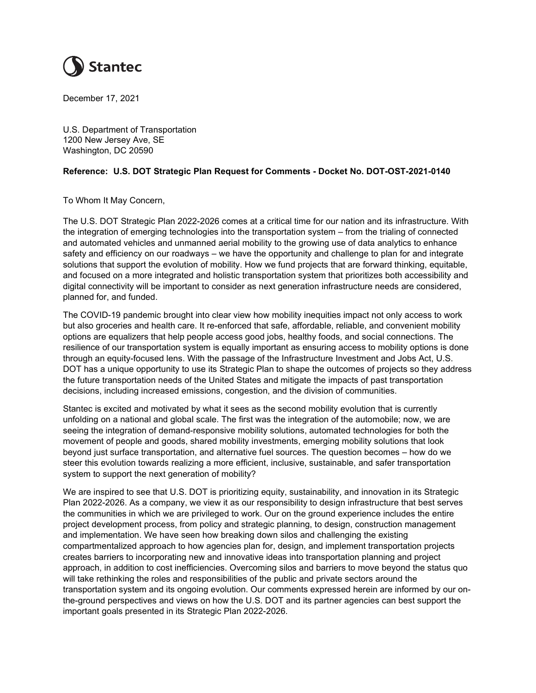

December 17, 2021

U.S. Department of Transportation 1200 New Jersey Ave, SE Washington, DC 20590

## Reference: U.S. DOT Strategic Plan Request for Comments - Docket No. DOT-OST-2021-0140

To Whom It May Concern,

The U.S. DOT Strategic Plan 2022-2026 comes at a critical time for our nation and its infrastructure. With the integration of emerging technologies into the transportation system – from the trialing of connected and automated vehicles and unmanned aerial mobility to the growing use of data analytics to enhance safety and efficiency on our roadways – we have the opportunity and challenge to plan for and integrate solutions that support the evolution of mobility. How we fund projects that are forward thinking, equitable, and focused on a more integrated and holistic transportation system that prioritizes both accessibility and digital connectivity will be important to consider as next generation infrastructure needs are considered, planned for, and funded.

The COVID-19 pandemic brought into clear view how mobility inequities impact not only access to work but also groceries and health care. It re-enforced that safe, affordable, reliable, and convenient mobility options are equalizers that help people access good jobs, healthy foods, and social connections. The resilience of our transportation system is equally important as ensuring access to mobility options is done through an equity-focused lens. With the passage of the Infrastructure Investment and Jobs Act, U.S. DOT has a unique opportunity to use its Strategic Plan to shape the outcomes of projects so they address the future transportation needs of the United States and mitigate the impacts of past transportation decisions, including increased emissions, congestion, and the division of communities.

Stantec is excited and motivated by what it sees as the second mobility evolution that is currently unfolding on a national and global scale. The first was the integration of the automobile; now, we are seeing the integration of demand-responsive mobility solutions, automated technologies for both the movement of people and goods, shared mobility investments, emerging mobility solutions that look beyond just surface transportation, and alternative fuel sources. The question becomes – how do we steer this evolution towards realizing a more efficient, inclusive, sustainable, and safer transportation system to support the next generation of mobility?

We are inspired to see that U.S. DOT is prioritizing equity, sustainability, and innovation in its Strategic Plan 2022-2026. As a company, we view it as our responsibility to design infrastructure that best serves the communities in which we are privileged to work. Our on the ground experience includes the entire project development process, from policy and strategic planning, to design, construction management and implementation. We have seen how breaking down silos and challenging the existing compartmentalized approach to how agencies plan for, design, and implement transportation projects creates barriers to incorporating new and innovative ideas into transportation planning and project approach, in addition to cost inefficiencies. Overcoming silos and barriers to move beyond the status quo will take rethinking the roles and responsibilities of the public and private sectors around the transportation system and its ongoing evolution. Our comments expressed herein are informed by our onthe-ground perspectives and views on how the U.S. DOT and its partner agencies can best support the important goals presented in its Strategic Plan 2022-2026.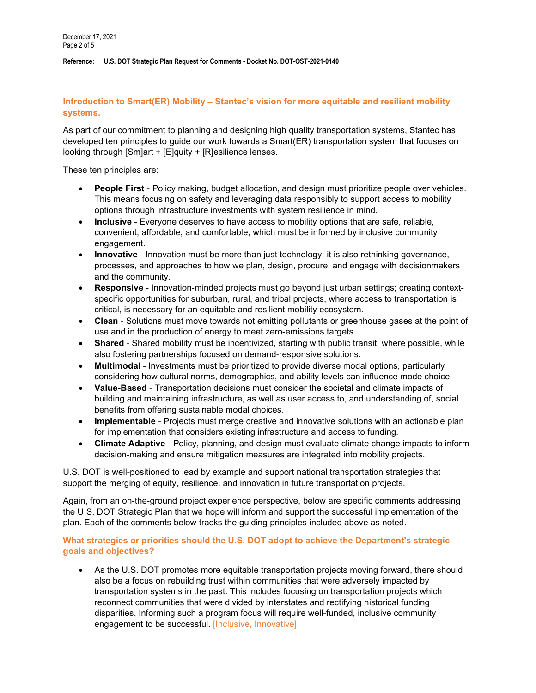## Introduction to Smart(ER) Mobility – Stantec's vision for more equitable and resilient mobility systems.

As part of our commitment to planning and designing high quality transportation systems, Stantec has developed ten principles to guide our work towards a Smart(ER) transportation system that focuses on looking through [Sm]art + [E]quity + [R]esilience lenses.

These ten principles are:

- People First Policy making, budget allocation, and design must prioritize people over vehicles. This means focusing on safety and leveraging data responsibly to support access to mobility options through infrastructure investments with system resilience in mind.
- Inclusive Everyone deserves to have access to mobility options that are safe, reliable, convenient, affordable, and comfortable, which must be informed by inclusive community engagement.
- Innovative Innovation must be more than just technology; it is also rethinking governance, processes, and approaches to how we plan, design, procure, and engage with decisionmakers and the community.
- Responsive Innovation-minded projects must go beyond just urban settings; creating contextspecific opportunities for suburban, rural, and tribal projects, where access to transportation is critical, is necessary for an equitable and resilient mobility ecosystem.
- Clean Solutions must move towards not emitting pollutants or greenhouse gases at the point of use and in the production of energy to meet zero-emissions targets.
- Shared Shared mobility must be incentivized, starting with public transit, where possible, while also fostering partnerships focused on demand-responsive solutions.
- Multimodal Investments must be prioritized to provide diverse modal options, particularly considering how cultural norms, demographics, and ability levels can influence mode choice.
- Value-Based Transportation decisions must consider the societal and climate impacts of building and maintaining infrastructure, as well as user access to, and understanding of, social benefits from offering sustainable modal choices.
- Implementable Projects must merge creative and innovative solutions with an actionable plan for implementation that considers existing infrastructure and access to funding.
- Climate Adaptive Policy, planning, and design must evaluate climate change impacts to inform decision-making and ensure mitigation measures are integrated into mobility projects.

U.S. DOT is well-positioned to lead by example and support national transportation strategies that support the merging of equity, resilience, and innovation in future transportation projects.

Again, from an on-the-ground project experience perspective, below are specific comments addressing the U.S. DOT Strategic Plan that we hope will inform and support the successful implementation of the plan. Each of the comments below tracks the guiding principles included above as noted.

# What strategies or priorities should the U.S. DOT adopt to achieve the Department's strategic goals and objectives?

 As the U.S. DOT promotes more equitable transportation projects moving forward, there should also be a focus on rebuilding trust within communities that were adversely impacted by transportation systems in the past. This includes focusing on transportation projects which reconnect communities that were divided by interstates and rectifying historical funding disparities. Informing such a program focus will require well-funded, inclusive community engagement to be successful. [Inclusive, Innovative]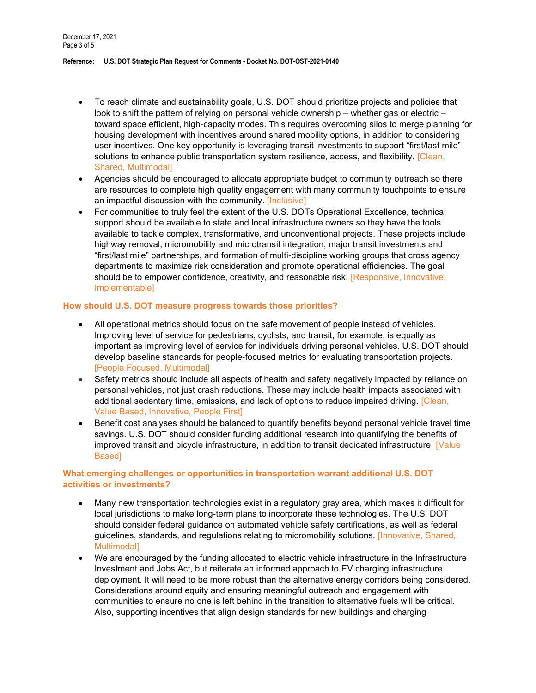- To reach climate and sustainability goals, U.S. DOT should prioritize projects and policies that look to shift the pattern of relying on personal vehicle ownership – whether gas or electric – toward space efficient, high-capacity modes. This requires overcoming silos to merge planning for housing development with incentives around shared mobility options, in addition to considering user incentives. One key opportunity is leveraging transit investments to support "first/last mile" solutions to enhance public transportation system resilience, access, and flexibility. [Clean, Shared, Multimodal]
- Agencies should be encouraged to allocate appropriate budget to community outreach so there are resources to complete high quality engagement with many community touchpoints to ensure an impactful discussion with the community. [Inclusive]
- For communities to truly feel the extent of the U.S. DOTs Operational Excellence, technical support should be available to state and local infrastructure owners so they have the tools available to tackle complex, transformative, and unconventional projects. These projects include highway removal, micromobility and microtransit integration, major transit investments and "first/last mile" partnerships, and formation of multi-discipline working groups that cross agency departments to maximize risk consideration and promote operational efficiencies. The goal should be to empower confidence, creativity, and reasonable risk. [Responsive, Innovative, Implementable]

## How should U.S. DOT measure progress towards those priorities?

- All operational metrics should focus on the safe movement of people instead of vehicles. Improving level of service for pedestrians, cyclists, and transit, for example, is equally as important as improving level of service for individuals driving personal vehicles. U.S. DOT should develop baseline standards for people-focused metrics for evaluating transportation projects. [People Focused, Multimodal]
- Safety metrics should include all aspects of health and safety negatively impacted by reliance on personal vehicles, not just crash reductions. These may include health impacts associated with additional sedentary time, emissions, and lack of options to reduce impaired driving. [Clean, Value Based, Innovative, People First]
- Benefit cost analyses should be balanced to quantify benefits beyond personal vehicle travel time savings. U.S. DOT should consider funding additional research into quantifying the benefits of improved transit and bicycle infrastructure, in addition to transit dedicated infrastructure. [Value Based]

# What emerging challenges or opportunities in transportation warrant additional U.S. DOT activities or investments?

- Many new transportation technologies exist in a regulatory gray area, which makes it difficult for local jurisdictions to make long-term plans to incorporate these technologies. The U.S. DOT should consider federal guidance on automated vehicle safety certifications, as well as federal guidelines, standards, and regulations relating to micromobility solutions. [Innovative, Shared, Multimodal]
- We are encouraged by the funding allocated to electric vehicle infrastructure in the Infrastructure Investment and Jobs Act, but reiterate an informed approach to EV charging infrastructure deployment. It will need to be more robust than the alternative energy corridors being considered. Considerations around equity and ensuring meaningful outreach and engagement with communities to ensure no one is left behind in the transition to alternative fuels will be critical. Also, supporting incentives that align design standards for new buildings and charging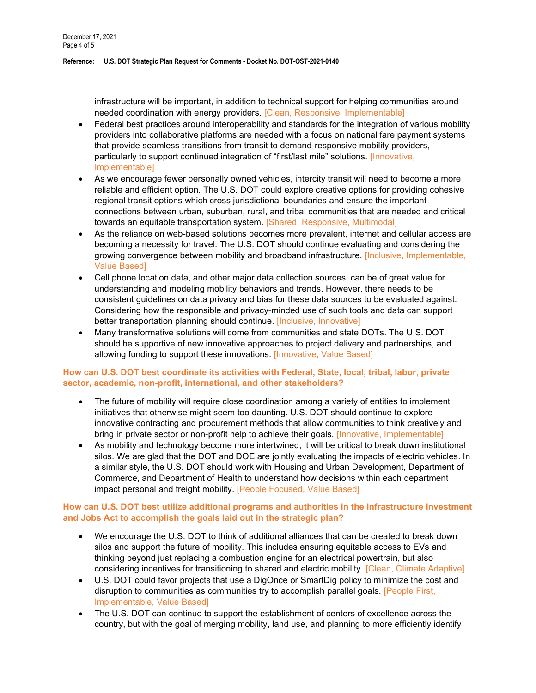infrastructure will be important, in addition to technical support for helping communities around needed coordination with energy providers. [Clean, Responsive, Implementable]

- Federal best practices around interoperability and standards for the integration of various mobility providers into collaborative platforms are needed with a focus on national fare payment systems that provide seamless transitions from transit to demand-responsive mobility providers, particularly to support continued integration of "first/last mile" solutions. [Innovative, Implementable]
- As we encourage fewer personally owned vehicles, intercity transit will need to become a more reliable and efficient option. The U.S. DOT could explore creative options for providing cohesive regional transit options which cross jurisdictional boundaries and ensure the important connections between urban, suburban, rural, and tribal communities that are needed and critical towards an equitable transportation system. [Shared, Responsive, Multimodal]
- As the reliance on web-based solutions becomes more prevalent, internet and cellular access are becoming a necessity for travel. The U.S. DOT should continue evaluating and considering the growing convergence between mobility and broadband infrastructure. [Inclusive, Implementable, Value Based]
- Cell phone location data, and other major data collection sources, can be of great value for understanding and modeling mobility behaviors and trends. However, there needs to be consistent guidelines on data privacy and bias for these data sources to be evaluated against. Considering how the responsible and privacy-minded use of such tools and data can support better transportation planning should continue. [Inclusive, Innovative]
- Many transformative solutions will come from communities and state DOTs. The U.S. DOT should be supportive of new innovative approaches to project delivery and partnerships, and allowing funding to support these innovations. [Innovative, Value Based]

## How can U.S. DOT best coordinate its activities with Federal, State, local, tribal, labor, private sector, academic, non-profit, international, and other stakeholders?

- The future of mobility will require close coordination among a variety of entities to implement initiatives that otherwise might seem too daunting. U.S. DOT should continue to explore innovative contracting and procurement methods that allow communities to think creatively and bring in private sector or non-profit help to achieve their goals. [Innovative, Implementable]
- As mobility and technology become more intertwined, it will be critical to break down institutional silos. We are glad that the DOT and DOE are jointly evaluating the impacts of electric vehicles. In a similar style, the U.S. DOT should work with Housing and Urban Development, Department of Commerce, and Department of Health to understand how decisions within each department impact personal and freight mobility. [People Focused, Value Based]

# How can U.S. DOT best utilize additional programs and authorities in the Infrastructure Investment and Jobs Act to accomplish the goals laid out in the strategic plan?

- We encourage the U.S. DOT to think of additional alliances that can be created to break down silos and support the future of mobility. This includes ensuring equitable access to EVs and thinking beyond just replacing a combustion engine for an electrical powertrain, but also considering incentives for transitioning to shared and electric mobility. [Clean, Climate Adaptive]
- U.S. DOT could favor projects that use a DigOnce or SmartDig policy to minimize the cost and disruption to communities as communities try to accomplish parallel goals. [People First, Implementable, Value Based]
- The U.S. DOT can continue to support the establishment of centers of excellence across the country, but with the goal of merging mobility, land use, and planning to more efficiently identify